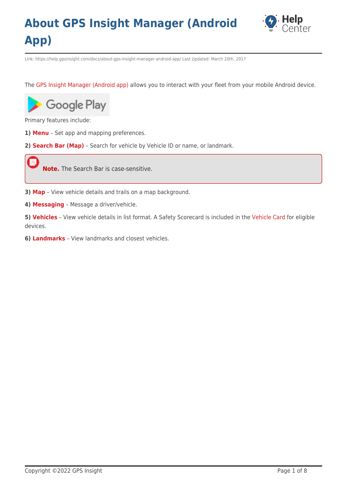

Link: https://help.gpsinsight.com/docs/about-gps-insight-manager-android-app/ Last Updated: March 20th, 2017

The [GPS Insight Manager \(Android app\)](https://play.google.com/store/apps/details?id=com.gpsinsight.manager&hl=en) allows you to interact with your fleet from your mobile Android device.



Primary features include:

- **1) [Menu](https://help.gpsinsight.com/docs/about-gps-insight-manager-android-app/using-the-android-manager-menu/)** Set app and mapping preferences.
- **2) [Search Bar \(Map\)](https://help.gpsinsight.com/docs/about-gps-insight-manager-android-app/using-the-android-manager-map/)** Search for vehicle by Vehicle ID or name, or landmark.

**Note.** The Search Bar is case-sensitive.

- **3) [Map](https://help.gpsinsight.com/docs/about-gps-insight-manager-android-app/using-the-android-manager-map/)** View vehicle details and trails on a map background.
- **4) [Messaging](https://help.gpsinsight.com/docs/about-gps-insight-manager-android-app/using-the-android-manager-messaging/)** Message a driver/vehicle.

**5) [Vehicles](https://help.gpsinsight.com/docs/about-gps-insight-manager-android-app/using-the-android-manager-vehicles-list/)** – View vehicle details in list format. A Safety Scorecard is included in the [Vehicle Card](https://help.gpsinsight.com/docs/about-gps-insight-manager-android-app/using-the-android-manager-map/using-the-vehicle-card/) for eligible devices.

**6) [Landmarks](https://help.gpsinsight.com/docs/about-gps-insight-manager-android-app/using-the-android-manager-landmarks/)** – View landmarks and closest vehicles.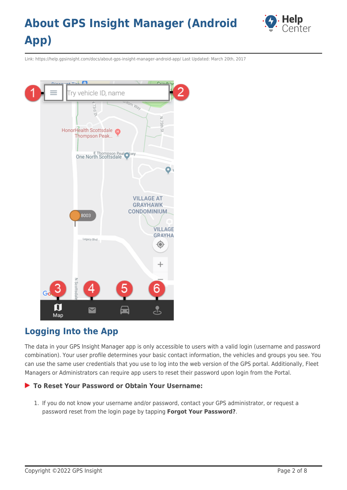

Link: https://help.gpsinsight.com/docs/about-gps-insight-manager-android-app/ Last Updated: March 20th, 2017



#### **Logging Into the App**

The data in your GPS Insight Manager app is only accessible to users with a valid login (username and password combination). Your user profile determines your basic contact information, the vehicles and groups you see. You can use the same user credentials that you use to log into the web version of the GPS portal. Additionally, Fleet Managers or Administrators can require app users to reset their password upon login from the Portal.

#### **To Reset Your Password or Obtain Your Username:**

1. If you do not know your username and/or password, contact your GPS administrator, or request a password reset from the login page by tapping **Forgot Your Password?**.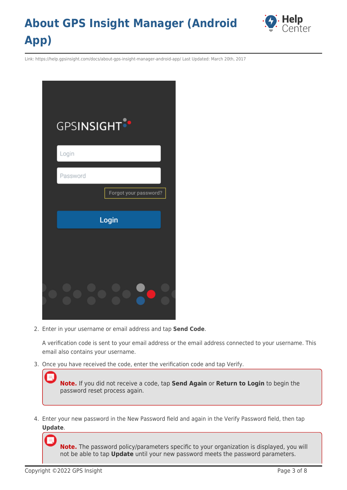

Link: https://help.gpsinsight.com/docs/about-gps-insight-manager-android-app/ Last Updated: March 20th, 2017

| <b>GPSINSIGHT</b><br>Login |       |                       |  |
|----------------------------|-------|-----------------------|--|
| Password                   |       |                       |  |
|                            |       | Forgot your password? |  |
|                            | Login |                       |  |
|                            |       |                       |  |
|                            |       |                       |  |

2. Enter in your username or email address and tap **Send Code**.

A verification code is sent to your email address or the email address connected to your username. This email also contains your username.

3. Once you have received the code, enter the verification code and tap Verify.

**Note.** If you did not receive a code, tap **Send Again** or **Return to Login** to begin the password reset process again.

4. Enter your new password in the New Password field and again in the Verify Password field, then tap **Update**.

**Note.** The password policy/parameters specific to your organization is displayed, you will not be able to tap **Update** until your new password meets the password parameters.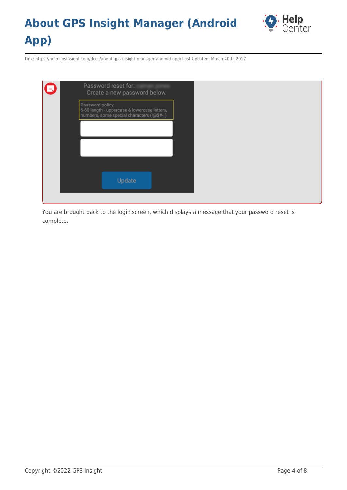

Link: https://help.gpsinsight.com/docs/about-gps-insight-manager-android-app/ Last Updated: March 20th, 2017

| Password reset for:<br>Create a new password below.                                                            |  |
|----------------------------------------------------------------------------------------------------------------|--|
| Password policy:<br>6-60 length - uppercase & lowercase letters,<br>numbers, some special characters (!@\$#-_) |  |
|                                                                                                                |  |
|                                                                                                                |  |
|                                                                                                                |  |
| Update                                                                                                         |  |

You are brought back to the login screen, which displays a message that your password reset is complete.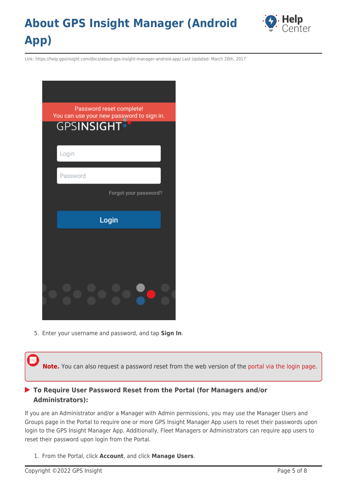

Link: https://help.gpsinsight.com/docs/about-gps-insight-manager-android-app/ Last Updated: March 20th, 2017



5. Enter your username and password, and tap **Sign In**.

**Note.** You can also request a password reset from the web version of the [portal via the login page](#page--1-0).

#### **To Require User Password Reset from the Portal (for Managers and/or Administrators):**

If you are an Administrator and/or a Manager with Admin permissions, you may use the Manager Users and Groups page in the Portal to require one or more GPS Insight Manager App users to reset their passwords upon login to the GPS Insight Manager App. Additionally, Fleet Managers or Administrators can require app users to reset their password upon login from the Portal.

1. From the Portal, click **Account**, and click **Manage Users**.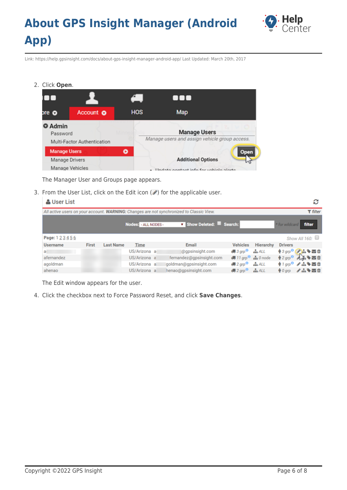

Link: https://help.gpsinsight.com/docs/about-gps-insight-manager-android-app/ Last Updated: March 20th, 2017

2. Click **Open**.

| OO                         |                                   |            |                                                                      |
|----------------------------|-----------------------------------|------------|----------------------------------------------------------------------|
| ore O                      | Account o                         | <b>HOS</b> | Map                                                                  |
| <b>O</b> Admin<br>Password | Multi-Factor Authentication       |            | <b>Manage Users</b><br>Manage users and assign vehicle group access. |
| <b>Manage Users</b>        |                                   |            | <b>Open</b>                                                          |
|                            | Manage Drivers<br>Manage Vehicles |            | <b>Additional Options</b><br>Undata contact info for vobiale alarta  |

The Manager User and Groups page appears.

3. From the User List, click on the Edit icon  $(\nearrow)$  for the applicable user.

| <b>&amp; User List</b> |       |                  |                      |                                                                                          |                                                  |                  |                | c                                                            |
|------------------------|-------|------------------|----------------------|------------------------------------------------------------------------------------------|--------------------------------------------------|------------------|----------------|--------------------------------------------------------------|
|                        |       |                  |                      | All active users on your account. WARNING: Changes are not synchronized to Classic View. |                                                  |                  |                | $T$ filter                                                   |
|                        |       |                  | Nodes: - ALL NODES - | Show Deleted: Search:                                                                    |                                                  |                  | * for wildcard | filter                                                       |
| Page: 1 2 3 4 5 6      |       |                  |                      |                                                                                          |                                                  |                  |                | Show All 160:                                                |
| <b>Username</b>        | First | <b>Last Name</b> | <b>Time</b>          | Email                                                                                    | <b>Vehicles</b>                                  | <b>Hierarchy</b> | <b>Drivers</b> |                                                              |
| a.                     |       |                  | US/Arizona a         | @gpsinsight.com                                                                          | $\overline{AB}$ 3 grp $\overline{O}$             | ALL              |                | $*3$ grp $^{\circ}$ $\rightarrow$ $*$ $\equiv$ $\uparrow$    |
| afernandez             |       |                  | US/Arizona a         | fernandez@gpsinsight.com                                                                 | $\bigoplus$ 11 grp $\bigodot$ $\bigoplus$ 0 node |                  |                | $*2grp$ $\rightarrow$                                        |
| agoldman               |       |                  | US/Arizona a         | goldman@gpsinsight.com                                                                   | $42$ grp <sup>0</sup> $\frac{1}{44}$ ALL         |                  |                | <b>ቁ1grp<sup>0</sup> / 出る四自</b>                              |
| ahenao                 |       |                  | US/Arizona a         | henao@gpsinsight.com                                                                     | $2$ grp <sup>O</sup>                             | ALL              |                | $*$ Ogrp $\nearrow$ $\triangle$ $*$ $\boxtimes$ $\hat{\Box}$ |

The Edit window appears for the user.

4. Click the checkbox next to Force Password Reset, and click **Save Changes**.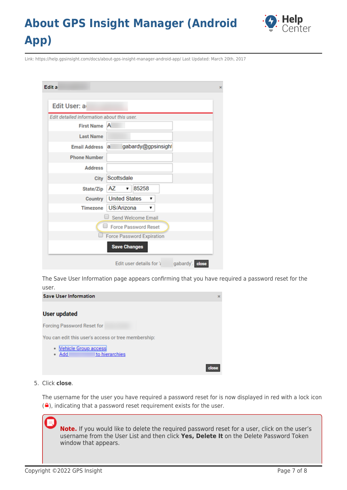

Link: https://help.gpsinsight.com/docs/about-gps-insight-manager-android-app/ Last Updated: March 20th, 2017

| Edit a                                     |                                             |
|--------------------------------------------|---------------------------------------------|
|                                            |                                             |
| Edit User: a                               |                                             |
| Edit detailed information about this user. |                                             |
| <b>First Name</b>                          | A                                           |
| <b>Last Name</b>                           |                                             |
| <b>Email Address</b>                       | gabardy@gpsinsight<br>a                     |
| <b>Phone Number</b>                        |                                             |
| <b>Address</b>                             |                                             |
| City                                       | Scottsdale                                  |
| State/Zip                                  | 85258<br>  AZ<br>▼ │                        |
| Country                                    | <b>United States</b><br>▼                   |
| Timezone                                   | US/Arizona                                  |
|                                            | Send Welcome Email                          |
|                                            | Force Password Reset                        |
|                                            | <b>Force Password Expiration</b>            |
|                                            | <b>Save Changes</b>                         |
|                                            | gabardy'. close<br>Edit user details for 'a |

The Save User Information page appears confirming that you have required a password reset for the user.



5. Click **close**.

The username for the user you have required a password reset for is now displayed in red with a lock icon  $\left( \frac{\bullet}{\bullet} \right)$ , indicating that a password reset requirement exists for the user.

**Note.** If you would like to delete the required password reset for a user, click on the user's username from the User List and then click **Yes, Delete It** on the Delete Password Token window that appears.